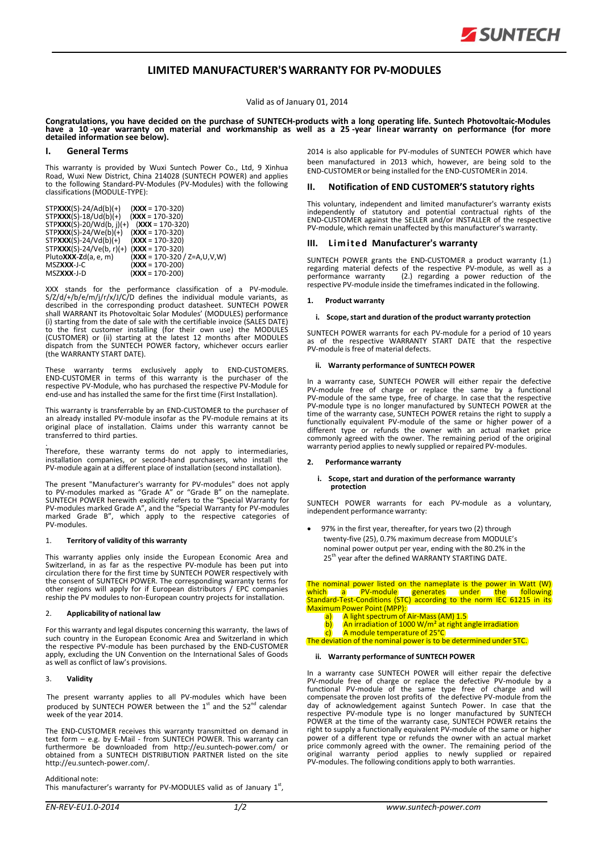

## **LIMITED MANUFACTURER'S WARRANTY FOR PV‐MODULES**

Valid as of January 01, 2014

Congratulations, you have decided on the purchase of SUNTECH-products with a long operating life. Suntech Photovoltaic-Modules<br>have a 10-year warranty on material and workmanship as well as a 25-year linear warranty on per **detailed information see below).**

## **I. General Terms**

This warranty is provided by Wuxi Suntech Power Co., Ltd, 9 Xinhua Road, Wuxi New District, China 214028 (SUNTECH POWER) and applies to the following Standard-PV-Modules (PV-Modules) with the following classifications(MODULE‐TYPE):

| $STPXXX(S)-24/Ad(b)(+)$    | $(XXX = 170-320)$               |
|----------------------------|---------------------------------|
| $STPXXX(S)-18/Ud(b)(+)$    | $(XXX = 170-320)$               |
| $STPXXX(S)-20/Wd(b, i)(+)$ | $(XXX = 170-320)$               |
| $STPXXX(S)-24/We(b)(+)$    | $(XXX = 170-320)$               |
| $STPXXX(S)-24/Vd(b)(+)$    | $(XXX = 170-320)$               |
| $STPXXX(S)-24/Ve(b, r)(+)$ | $(XXX = 170-320)$               |
| Pluto $XXX$ -Zd(a, e, m)   | $(XXX = 170-320 / Z = A,U,V,W)$ |
| MSZXXX-J-C                 | $(XXX = 170-200)$               |
| MSZXXX-J-D                 | $(XXX = 170-200)$               |
|                            |                                 |

XXX stands for the performance classification of a PV‐module. S/Z/d/+/b/e/m/j/r/x/J/C/D defines the individual module variants, as described in the corresponding product datasheet. SUNTECH POWER shall WARRANT its Photovoltaic Solar Modules' (MODULES) performance (i) starting from the date of sale with the certifiable invoice (SALES DATE) the first customer installing (for their own use) the MODULES (CUSTOMER) or (ii) starting at the latest 12 months after MODULES dispatch from the SUNTECH POWER factory, whichever occurs earlier (the WARRANTY START DATE).

These warranty terms exclusively apply to END‐CUSTOMERS. END‐CUSTOMER in terms of this warranty is the purchaser of the respective PV‐Module, who has purchased the respective PV‐Module for end‐use and has installed the same for the first time (First Installation).

This warranty is transferrable by an END‐CUSTOMER to the purchaser of an already installed PV‐module insofar as the PV‐module remains at its original place of installation. Claims under this warranty cannot be transferred to third parties.

. Therefore, these warranty terms do not apply to intermediaries, installation companies, or second‐hand purchasers, who install the PV‐module again at a different place of installation (second installation).

The present "Manufacturer's warranty for PV‐modules" does not apply to PV‐modules marked as "Grade A" or "Grade B" on the nameplate. SUNTECH POWER herewith explicitly refers to the "Special Warranty for PV‐modules marked Grade A", and the "Special Warranty for PV‐modules marked Grade B", which apply to the respective categories of PV‐modules.

## 1. **Territory of validity of this warranty**

This warranty applies only inside the European Economic Area and Switzerland, in as far as the respective PV‐module has been put into circulation there for the first time by SUNTECH POWER respectively with the consent of SUNTECH POWER. The corresponding warranty terms for other regions will apply for if European distributors / EPC companies reship the PV modules to non-European country projects for installation.

## 2. **Applicability of national law**

For this warranty and legal disputes concerning this warranty, the laws of such country in the European Economic Area and Switzerland in which the respective PV‐module has been purchased by the END‐CUSTOMER apply, excluding the UN Convention on the International Sales of Goods as well as conflict of law's provisions.

## 3. **Validity**

The present warranty applies to all PV-modules which have been produced by SUNTECH POWER between the  $1<sup>st</sup>$  and the 52<sup>nd</sup> calendar week of the year 2014.

The END‐CUSTOMER receives this warranty transmitted on demand in text form – e.g. by E‐Mail ‐ from SUNTECH POWER. This warranty can furthermore be downloaded from [http://eu.suntech](http://eu.suntech/)‐power.com/ or obtained from a SUNTECH DISTRIBUTION PARTNER listed on the site [http://eu.suntech](http://eu.suntech/)‐power.com/.

## Additional note:

This manufacturer's warranty for PV-MODULES valid as of January 1st,

2014 is also applicable for PV-modules of SUNTECH POWER which have been manufactured in 2013 which, however, are being sold to the END‐CUSTOMER or being installed for the END‐CUSTOMER in 2014.

## **II. Notification of END CUSTOMER'S statutory rights**

This voluntary, independent and limited manufacturer's warranty exists independently of statutory and potential contractual rights of the END‐CUSTOMER against the SELLER and/or INSTALLER of the respective PV-module, which remain unaffected by this manufacturer's warranty.

## **III.** Limited Manufacturer's warranty

SUNTECH POWER grants the END‐CUSTOMER a product warranty (1.) regarding material defects of the respective PV‐module, as well as a performance warranty (2.) regarding a power reduction of the respective PV‐module inside the timeframesindicated in the following.

## **1. Product warranty**

#### **i. Scope,start and duration of the product warranty protection**

SUNTECH POWER warrants for each PV‐module for a period of 10 years as of the respective WARRANTY START DATE that the respective PV‐module is free of material defects.

#### **ii. Warranty performance of SUNTECH POWER**

In a warranty case, SUNTECH POWER will either repair the defective PV‐module free of charge or replace the same by a functional PV‐module of the same type, free of charge. In case that the respective PV-module type is no longer manufactured by SUNTECH POWER at the time of the warranty case, SUNTECH POWER retains the right to supply a functionally equivalent PV‐module of the same or higher power of a different type or refunds the owner with an actual market price commonly agreed with the owner. The remaining period of the original warranty period applies to newly supplied or repaired PV-modules.

#### **2. Performance warranty**

# **i. Scope, start and duration of the performance warranty protection**

SUNTECH POWER warrants for each PV‐module as a voluntary, independent performance warranty:

 97% in the first year, thereafter, for years two (2) through twenty-five (25), 0.7% maximum decrease from MODULE's nominal power output per year, ending with the 80.2% in the 25<sup>th</sup> year after the defined WARRANTY STARTING DATE.

The nominal power listed on the nameplate is the power in Watt (W)<br>which a a PV-module agenerates under the following Standard-Test-Conditions (STC) according to the norm IEC 61215 in its Maximum Power Point (MPP):<br>a) A light spectrum of

- **a)** A light spectrum of Air-Mass (AM) 1.5<br>b) An irradiation of 1000 W/m<sup>2</sup> at right a
- b) An irradiation of 1000 W/m<sup>2</sup> at right angle irradiation
- c) A module temperature of 25°C The deviation of the nominal power is to be determined under STC.

## **ii. Warranty performance of SUNTECH POWER**

In a warranty case SUNTECH POWER will either repair the defective PV‐module free of charge or replace the defective PV-module by a functional PV‐module of the same type free of charge and will compensate the proven lost profits of the defective PV‐module from the day of acknowledgement against Suntech Power. In case that the respective PV‐module type is no longer manufactured by SUNTECH POWER at the time of the warranty case, SUNTECH POWER retains the right to supply a functionally equivalent PV‐module of the same or higher power of a different type or refunds the owner with an actual market price commonly agreed with the owner. The remaining period of the original warranty period applies to newly supplied or repaired PV‐modules. The following conditions apply to both warranties.